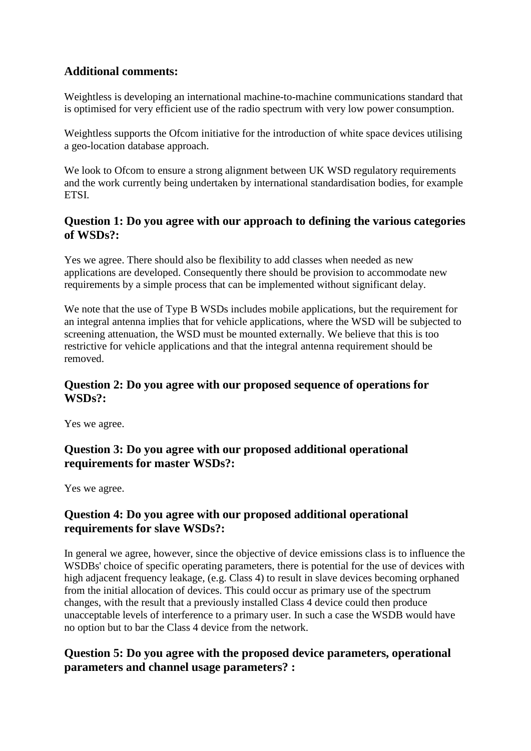### **Additional comments:**

Weightless is developing an international machine-to-machine communications standard that is optimised for very efficient use of the radio spectrum with very low power consumption.

Weightless supports the Ofcom initiative for the introduction of white space devices utilising a geo-location database approach.

We look to Ofcom to ensure a strong alignment between UK WSD regulatory requirements and the work currently being undertaken by international standardisation bodies, for example ETSI.

#### **Question 1: Do you agree with our approach to defining the various categories of WSDs?:**

Yes we agree. There should also be flexibility to add classes when needed as new applications are developed. Consequently there should be provision to accommodate new requirements by a simple process that can be implemented without significant delay.

We note that the use of Type B WSDs includes mobile applications, but the requirement for an integral antenna implies that for vehicle applications, where the WSD will be subjected to screening attenuation, the WSD must be mounted externally. We believe that this is too restrictive for vehicle applications and that the integral antenna requirement should be removed.

#### **Question 2: Do you agree with our proposed sequence of operations for WSDs?:**

Yes we agree.

# **Question 3: Do you agree with our proposed additional operational requirements for master WSDs?:**

Yes we agree.

### **Question 4: Do you agree with our proposed additional operational requirements for slave WSDs?:**

In general we agree, however, since the objective of device emissions class is to influence the WSDBs' choice of specific operating parameters, there is potential for the use of devices with high adjacent frequency leakage, (e.g. Class 4) to result in slave devices becoming orphaned from the initial allocation of devices. This could occur as primary use of the spectrum changes, with the result that a previously installed Class 4 device could then produce unacceptable levels of interference to a primary user. In such a case the WSDB would have no option but to bar the Class 4 device from the network.

# **Question 5: Do you agree with the proposed device parameters, operational parameters and channel usage parameters? :**